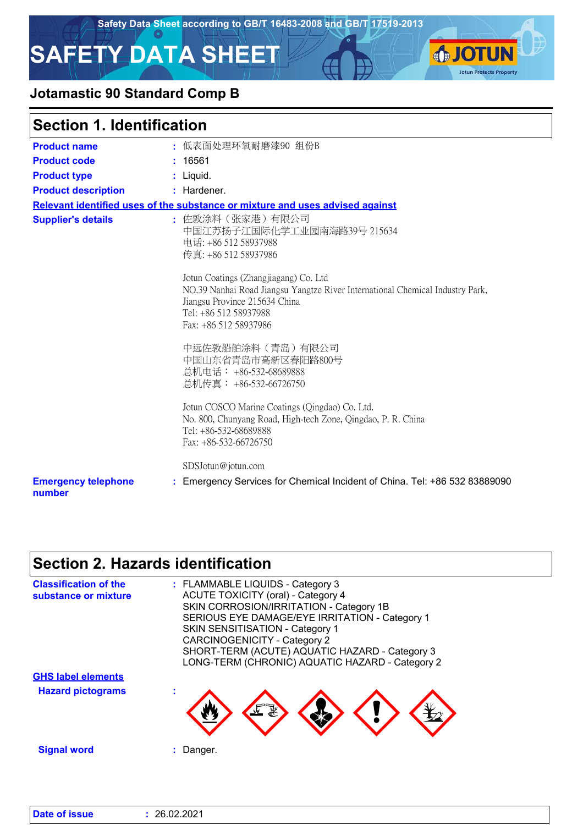

**IOTUN** 

**Jotun Protects Property** 

# **SAFETY DATA SHEET**



### **Section 1. Identification**

| <b>Product name</b>                  | : 低表面处理环氧耐磨漆90 组份B                                                                                                                                                                                        |
|--------------------------------------|-----------------------------------------------------------------------------------------------------------------------------------------------------------------------------------------------------------|
|                                      |                                                                                                                                                                                                           |
| <b>Product code</b>                  | : 16561                                                                                                                                                                                                   |
| <b>Product type</b>                  | : Liquid.                                                                                                                                                                                                 |
| <b>Product description</b>           | : Hardener.                                                                                                                                                                                               |
|                                      | Relevant identified uses of the substance or mixture and uses advised against                                                                                                                             |
| <b>Supplier's details</b>            | : 佐敦涂料(张家港)有限公司<br>中国江苏扬子江国际化学工业园南海路39号 215634<br>电话: +86 512 58937988<br>传真: +86 512 58937986                                                                                                            |
|                                      | Jotun Coatings (Zhangjiagang) Co. Ltd<br>NO.39 Nanhai Road Jiangsu Yangtze River International Chemical Industry Park,<br>Jiangsu Province 215634 China<br>Tel: +86 512 58937988<br>Fax: +86 512 58937986 |
|                                      | 中远佐敦船舶涂料(青岛)有限公司<br>中国山东省青岛市高新区春阳路800号<br>总机电话: +86-532-68689888<br>总机传真: +86-532-66726750                                                                                                                |
|                                      | Jotun COSCO Marine Coatings (Qingdao) Co. Ltd.<br>No. 800, Chunyang Road, High-tech Zone, Qingdao, P. R. China<br>Tel: +86-532-68689888<br>Fax: $+86-532-66726750$                                        |
|                                      | SDSJotun@jotun.com                                                                                                                                                                                        |
| <b>Emergency telephone</b><br>number | : Emergency Services for Chemical Incident of China. Tel: +86 532 83889090                                                                                                                                |

### **Section 2. Hazards identification**

| <b>Classification of the</b><br>substance or mixture | : FLAMMABLE LIQUIDS - Category 3<br><b>ACUTE TOXICITY (oral) - Category 4</b><br>SKIN CORROSION/IRRITATION - Category 1B<br>SERIOUS EYE DAMAGE/EYE IRRITATION - Category 1<br>SKIN SENSITISATION - Category 1<br><b>CARCINOGENICITY - Category 2</b><br>SHORT-TERM (ACUTE) AQUATIC HAZARD - Category 3 |
|------------------------------------------------------|--------------------------------------------------------------------------------------------------------------------------------------------------------------------------------------------------------------------------------------------------------------------------------------------------------|
|                                                      | LONG-TERM (CHRONIC) AQUATIC HAZARD - Category 2                                                                                                                                                                                                                                                        |
| <b>GHS label elements</b>                            |                                                                                                                                                                                                                                                                                                        |
| <b>Hazard pictograms</b>                             |                                                                                                                                                                                                                                                                                                        |
| <b>Signal word</b>                                   | Danger.                                                                                                                                                                                                                                                                                                |

| Date of issue | : 26.02.2021 |  |
|---------------|--------------|--|
|---------------|--------------|--|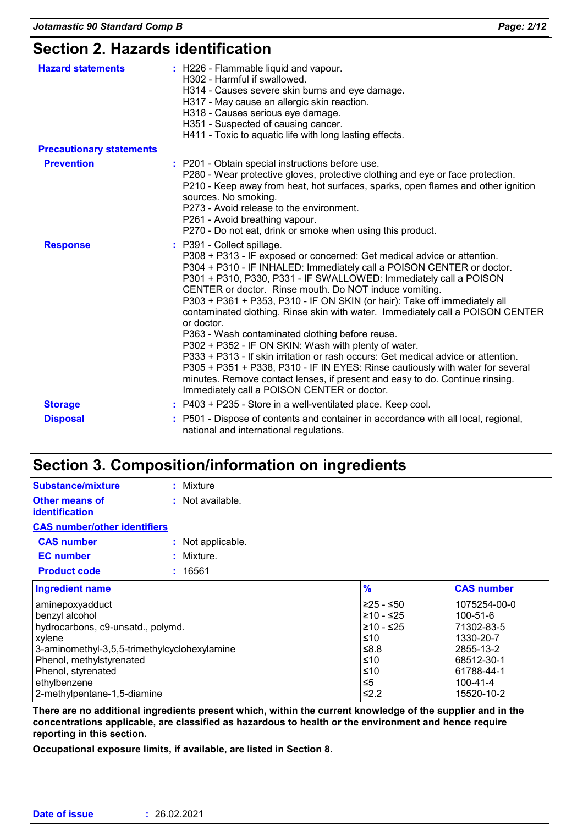### **Section 2. Hazards identification**

| <b>Hazard statements</b>        | : H226 - Flammable liquid and vapour.<br>H302 - Harmful if swallowed.<br>H314 - Causes severe skin burns and eye damage.<br>H317 - May cause an allergic skin reaction.<br>H318 - Causes serious eye damage.<br>H351 - Suspected of causing cancer.<br>H411 - Toxic to aquatic life with long lasting effects.                                                                                                                                                                                                                                                                                                                                                                                                                                                                                                                                                                                            |  |
|---------------------------------|-----------------------------------------------------------------------------------------------------------------------------------------------------------------------------------------------------------------------------------------------------------------------------------------------------------------------------------------------------------------------------------------------------------------------------------------------------------------------------------------------------------------------------------------------------------------------------------------------------------------------------------------------------------------------------------------------------------------------------------------------------------------------------------------------------------------------------------------------------------------------------------------------------------|--|
| <b>Precautionary statements</b> |                                                                                                                                                                                                                                                                                                                                                                                                                                                                                                                                                                                                                                                                                                                                                                                                                                                                                                           |  |
| <b>Prevention</b>               | : P201 - Obtain special instructions before use.<br>P280 - Wear protective gloves, protective clothing and eye or face protection.<br>P210 - Keep away from heat, hot surfaces, sparks, open flames and other ignition<br>sources. No smoking.<br>P273 - Avoid release to the environment.<br>P261 - Avoid breathing vapour.<br>P270 - Do not eat, drink or smoke when using this product.                                                                                                                                                                                                                                                                                                                                                                                                                                                                                                                |  |
| <b>Response</b>                 | P391 - Collect spillage.<br>P308 + P313 - IF exposed or concerned: Get medical advice or attention.<br>P304 + P310 - IF INHALED: Immediately call a POISON CENTER or doctor.<br>P301 + P310, P330, P331 - IF SWALLOWED: Immediately call a POISON<br>CENTER or doctor. Rinse mouth. Do NOT induce vomiting.<br>P303 + P361 + P353, P310 - IF ON SKIN (or hair): Take off immediately all<br>contaminated clothing. Rinse skin with water. Immediately call a POISON CENTER<br>or doctor.<br>P363 - Wash contaminated clothing before reuse.<br>P302 + P352 - IF ON SKIN: Wash with plenty of water.<br>P333 + P313 - If skin irritation or rash occurs: Get medical advice or attention.<br>P305 + P351 + P338, P310 - IF IN EYES: Rinse cautiously with water for several<br>minutes. Remove contact lenses, if present and easy to do. Continue rinsing.<br>Immediately call a POISON CENTER or doctor. |  |
| <b>Storage</b>                  | : P403 + P235 - Store in a well-ventilated place. Keep cool.                                                                                                                                                                                                                                                                                                                                                                                                                                                                                                                                                                                                                                                                                                                                                                                                                                              |  |
| <b>Disposal</b>                 | P501 - Dispose of contents and container in accordance with all local, regional,<br>national and international regulations.                                                                                                                                                                                                                                                                                                                                                                                                                                                                                                                                                                                                                                                                                                                                                                               |  |

### **Section 3. Composition/information on ingredients**

| <b>Substance/mixture</b>                       | : Mixture          |
|------------------------------------------------|--------------------|
| <b>Other means of</b><br><b>identification</b> | $:$ Not available. |
| <b>CAS number/other identifiers</b>            |                    |
| <b>CAS number</b>                              | : Not applicable.  |
| <b>EC</b> number                               | : Mixture.         |
| <b>Product code</b>                            | : 16561            |
|                                                |                    |

| <b>Ingredient name</b>                       | $\frac{9}{6}$ | <b>CAS number</b> |
|----------------------------------------------|---------------|-------------------|
| aminepoxyadduct                              | ≥25 - ≤50     | 1075254-00-0      |
| benzyl alcohol                               | ≥10 - ≤25     | 100-51-6          |
| hydrocarbons, c9-unsatd., polymd.            | $≥10 - ≤25$   | 71302-83-5        |
| <b>xylene</b>                                | ≤10           | 1330-20-7         |
| 3-aminomethyl-3,5,5-trimethylcyclohexylamine | ≤8.8          | 2855-13-2         |
| Phenol, methylstyrenated                     | ≤10           | 68512-30-1        |
| Phenol, styrenated                           | ≤10           | 61788-44-1        |
| ethylbenzene                                 | ≤5            | 100-41-4          |
| 2-methylpentane-1,5-diamine                  | $\leq$ 2.2    | 15520-10-2        |

**There are no additional ingredients present which, within the current knowledge of the supplier and in the concentrations applicable, are classified as hazardous to health or the environment and hence require reporting in this section.**

**Occupational exposure limits, if available, are listed in Section 8.**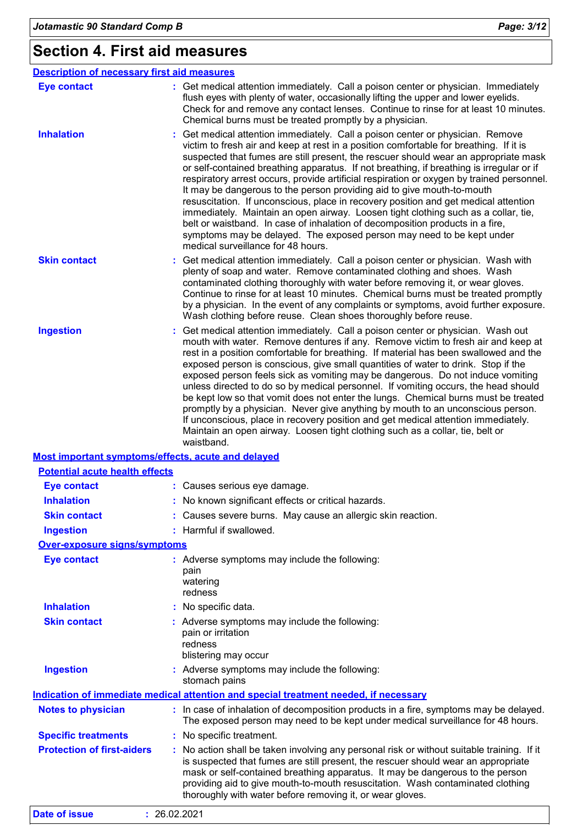### **Section 4. First aid measures**

| <b>Description of necessary first aid measures</b> |                                                                                                                                                                                                                                                                                                                                                                                                                                                                                                                                                                                                                                                                                                                                                                                                                                                                                                               |
|----------------------------------------------------|---------------------------------------------------------------------------------------------------------------------------------------------------------------------------------------------------------------------------------------------------------------------------------------------------------------------------------------------------------------------------------------------------------------------------------------------------------------------------------------------------------------------------------------------------------------------------------------------------------------------------------------------------------------------------------------------------------------------------------------------------------------------------------------------------------------------------------------------------------------------------------------------------------------|
| <b>Eye contact</b>                                 | : Get medical attention immediately. Call a poison center or physician. Immediately<br>flush eyes with plenty of water, occasionally lifting the upper and lower eyelids.<br>Check for and remove any contact lenses. Continue to rinse for at least 10 minutes.<br>Chemical burns must be treated promptly by a physician.                                                                                                                                                                                                                                                                                                                                                                                                                                                                                                                                                                                   |
| <b>Inhalation</b>                                  | Get medical attention immediately. Call a poison center or physician. Remove<br>victim to fresh air and keep at rest in a position comfortable for breathing. If it is<br>suspected that fumes are still present, the rescuer should wear an appropriate mask<br>or self-contained breathing apparatus. If not breathing, if breathing is irregular or if<br>respiratory arrest occurs, provide artificial respiration or oxygen by trained personnel.<br>It may be dangerous to the person providing aid to give mouth-to-mouth<br>resuscitation. If unconscious, place in recovery position and get medical attention<br>immediately. Maintain an open airway. Loosen tight clothing such as a collar, tie,<br>belt or waistband. In case of inhalation of decomposition products in a fire,<br>symptoms may be delayed. The exposed person may need to be kept under<br>medical surveillance for 48 hours. |
| <b>Skin contact</b>                                | : Get medical attention immediately. Call a poison center or physician. Wash with<br>plenty of soap and water. Remove contaminated clothing and shoes. Wash<br>contaminated clothing thoroughly with water before removing it, or wear gloves.<br>Continue to rinse for at least 10 minutes. Chemical burns must be treated promptly<br>by a physician. In the event of any complaints or symptoms, avoid further exposure.<br>Wash clothing before reuse. Clean shoes thoroughly before reuse.                                                                                                                                                                                                                                                                                                                                                                                                               |
| <b>Ingestion</b>                                   | Get medical attention immediately. Call a poison center or physician. Wash out<br>mouth with water. Remove dentures if any. Remove victim to fresh air and keep at<br>rest in a position comfortable for breathing. If material has been swallowed and the<br>exposed person is conscious, give small quantities of water to drink. Stop if the<br>exposed person feels sick as vomiting may be dangerous. Do not induce vomiting<br>unless directed to do so by medical personnel. If vomiting occurs, the head should<br>be kept low so that vomit does not enter the lungs. Chemical burns must be treated<br>promptly by a physician. Never give anything by mouth to an unconscious person.<br>If unconscious, place in recovery position and get medical attention immediately.<br>Maintain an open airway. Loosen tight clothing such as a collar, tie, belt or<br>waistband.                          |
| Most important symptoms/effects, acute and delayed |                                                                                                                                                                                                                                                                                                                                                                                                                                                                                                                                                                                                                                                                                                                                                                                                                                                                                                               |
| <b>Potential acute health effects</b>              |                                                                                                                                                                                                                                                                                                                                                                                                                                                                                                                                                                                                                                                                                                                                                                                                                                                                                                               |
| <b>Eye contact</b>                                 | : Causes serious eye damage.                                                                                                                                                                                                                                                                                                                                                                                                                                                                                                                                                                                                                                                                                                                                                                                                                                                                                  |
| <b>Inhalation</b>                                  | : No known significant effects or critical hazards.                                                                                                                                                                                                                                                                                                                                                                                                                                                                                                                                                                                                                                                                                                                                                                                                                                                           |
| <b>Skin contact</b>                                | : Causes severe burns. May cause an allergic skin reaction.                                                                                                                                                                                                                                                                                                                                                                                                                                                                                                                                                                                                                                                                                                                                                                                                                                                   |
| <b>Ingestion</b>                                   | : Harmful if swallowed.                                                                                                                                                                                                                                                                                                                                                                                                                                                                                                                                                                                                                                                                                                                                                                                                                                                                                       |
| <b>Over-exposure signs/symptoms</b>                |                                                                                                                                                                                                                                                                                                                                                                                                                                                                                                                                                                                                                                                                                                                                                                                                                                                                                                               |
| <b>Eye contact</b>                                 | : Adverse symptoms may include the following:<br>pain<br>watering<br>redness                                                                                                                                                                                                                                                                                                                                                                                                                                                                                                                                                                                                                                                                                                                                                                                                                                  |
| <b>Inhalation</b>                                  | : No specific data.                                                                                                                                                                                                                                                                                                                                                                                                                                                                                                                                                                                                                                                                                                                                                                                                                                                                                           |
| <b>Skin contact</b>                                | : Adverse symptoms may include the following:<br>pain or irritation<br>redness<br>blistering may occur                                                                                                                                                                                                                                                                                                                                                                                                                                                                                                                                                                                                                                                                                                                                                                                                        |
| <b>Ingestion</b>                                   | Adverse symptoms may include the following:<br>stomach pains                                                                                                                                                                                                                                                                                                                                                                                                                                                                                                                                                                                                                                                                                                                                                                                                                                                  |
|                                                    | Indication of immediate medical attention and special treatment needed, if necessary                                                                                                                                                                                                                                                                                                                                                                                                                                                                                                                                                                                                                                                                                                                                                                                                                          |
| <b>Notes to physician</b>                          | : In case of inhalation of decomposition products in a fire, symptoms may be delayed.<br>The exposed person may need to be kept under medical surveillance for 48 hours.                                                                                                                                                                                                                                                                                                                                                                                                                                                                                                                                                                                                                                                                                                                                      |
| <b>Specific treatments</b>                         | : No specific treatment.                                                                                                                                                                                                                                                                                                                                                                                                                                                                                                                                                                                                                                                                                                                                                                                                                                                                                      |
| <b>Protection of first-aiders</b>                  | : No action shall be taken involving any personal risk or without suitable training. If it<br>is suspected that fumes are still present, the rescuer should wear an appropriate<br>mask or self-contained breathing apparatus. It may be dangerous to the person<br>providing aid to give mouth-to-mouth resuscitation. Wash contaminated clothing<br>thoroughly with water before removing it, or wear gloves.                                                                                                                                                                                                                                                                                                                                                                                                                                                                                               |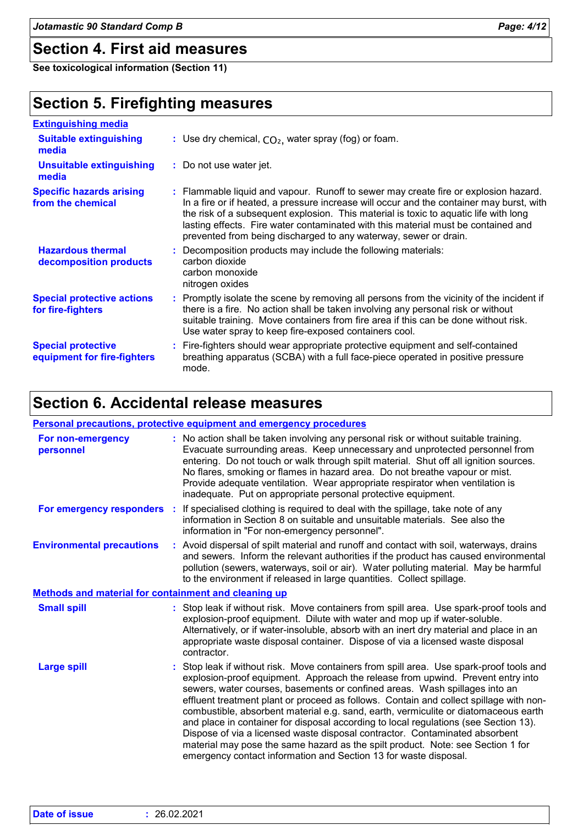### **Section 4. First aid measures**

**See toxicological information (Section 11)**

### **Section 5. Firefighting measures**

| <b>Extinguishing media</b>                               |                                                                                                                                                                                                                                                                                                                                                                                                                                  |
|----------------------------------------------------------|----------------------------------------------------------------------------------------------------------------------------------------------------------------------------------------------------------------------------------------------------------------------------------------------------------------------------------------------------------------------------------------------------------------------------------|
| <b>Suitable extinguishing</b><br>media                   | : Use dry chemical, $CO2$ , water spray (fog) or foam.                                                                                                                                                                                                                                                                                                                                                                           |
| <b>Unsuitable extinguishing</b><br>media                 | : Do not use water jet.                                                                                                                                                                                                                                                                                                                                                                                                          |
| <b>Specific hazards arising</b><br>from the chemical     | : Flammable liquid and vapour. Runoff to sewer may create fire or explosion hazard.<br>In a fire or if heated, a pressure increase will occur and the container may burst, with<br>the risk of a subsequent explosion. This material is toxic to aquatic life with long<br>lasting effects. Fire water contaminated with this material must be contained and<br>prevented from being discharged to any waterway, sewer or drain. |
| <b>Hazardous thermal</b><br>decomposition products       | : Decomposition products may include the following materials:<br>carbon dioxide<br>carbon monoxide<br>nitrogen oxides                                                                                                                                                                                                                                                                                                            |
| <b>Special protective actions</b><br>for fire-fighters   | : Promptly isolate the scene by removing all persons from the vicinity of the incident if<br>there is a fire. No action shall be taken involving any personal risk or without<br>suitable training. Move containers from fire area if this can be done without risk.<br>Use water spray to keep fire-exposed containers cool.                                                                                                    |
| <b>Special protective</b><br>equipment for fire-fighters | : Fire-fighters should wear appropriate protective equipment and self-contained<br>breathing apparatus (SCBA) with a full face-piece operated in positive pressure<br>mode.                                                                                                                                                                                                                                                      |

### **Section 6. Accidental release measures**

|                                                             | <b>Personal precautions, protective equipment and emergency procedures</b>                                                                                                                                                                                                                                                                                                                                                                                                                                                                                                                                                                                                                                                                                              |
|-------------------------------------------------------------|-------------------------------------------------------------------------------------------------------------------------------------------------------------------------------------------------------------------------------------------------------------------------------------------------------------------------------------------------------------------------------------------------------------------------------------------------------------------------------------------------------------------------------------------------------------------------------------------------------------------------------------------------------------------------------------------------------------------------------------------------------------------------|
| For non-emergency<br>personnel                              | : No action shall be taken involving any personal risk or without suitable training.<br>Evacuate surrounding areas. Keep unnecessary and unprotected personnel from<br>entering. Do not touch or walk through spilt material. Shut off all ignition sources.<br>No flares, smoking or flames in hazard area. Do not breathe vapour or mist.<br>Provide adequate ventilation. Wear appropriate respirator when ventilation is<br>inadequate. Put on appropriate personal protective equipment.                                                                                                                                                                                                                                                                           |
|                                                             | For emergency responders : If specialised clothing is required to deal with the spillage, take note of any<br>information in Section 8 on suitable and unsuitable materials. See also the<br>information in "For non-emergency personnel".                                                                                                                                                                                                                                                                                                                                                                                                                                                                                                                              |
| <b>Environmental precautions</b>                            | : Avoid dispersal of spilt material and runoff and contact with soil, waterways, drains<br>and sewers. Inform the relevant authorities if the product has caused environmental<br>pollution (sewers, waterways, soil or air). Water polluting material. May be harmful<br>to the environment if released in large quantities. Collect spillage.                                                                                                                                                                                                                                                                                                                                                                                                                         |
| <b>Methods and material for containment and cleaning up</b> |                                                                                                                                                                                                                                                                                                                                                                                                                                                                                                                                                                                                                                                                                                                                                                         |
| <b>Small spill</b>                                          | : Stop leak if without risk. Move containers from spill area. Use spark-proof tools and<br>explosion-proof equipment. Dilute with water and mop up if water-soluble.<br>Alternatively, or if water-insoluble, absorb with an inert dry material and place in an<br>appropriate waste disposal container. Dispose of via a licensed waste disposal<br>contractor.                                                                                                                                                                                                                                                                                                                                                                                                        |
| <b>Large spill</b>                                          | : Stop leak if without risk. Move containers from spill area. Use spark-proof tools and<br>explosion-proof equipment. Approach the release from upwind. Prevent entry into<br>sewers, water courses, basements or confined areas. Wash spillages into an<br>effluent treatment plant or proceed as follows. Contain and collect spillage with non-<br>combustible, absorbent material e.g. sand, earth, vermiculite or diatomaceous earth<br>and place in container for disposal according to local regulations (see Section 13).<br>Dispose of via a licensed waste disposal contractor. Contaminated absorbent<br>material may pose the same hazard as the spilt product. Note: see Section 1 for<br>emergency contact information and Section 13 for waste disposal. |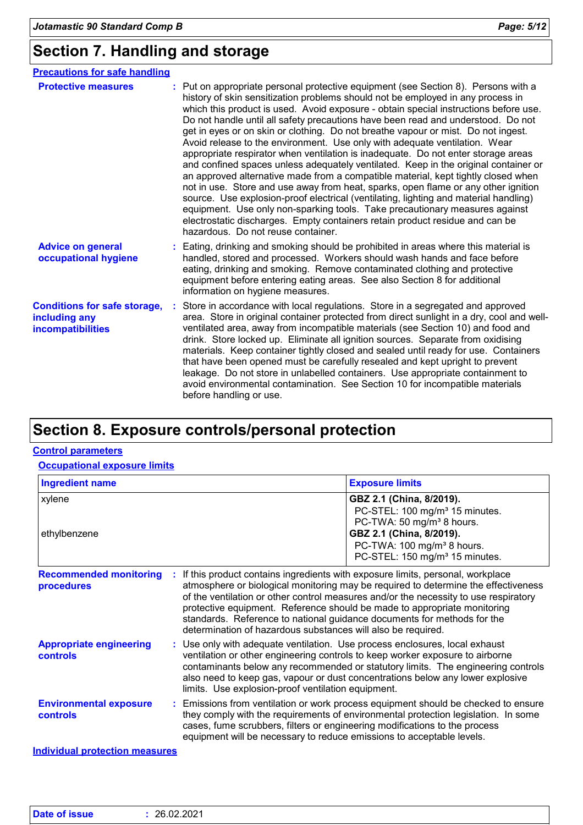### **Section 7. Handling and storage**

| <b>Precautions for safe handling</b>                                      |                                                                                                                                                                                                                                                                                                                                                                                                                                                                                                                                                                                                                                                                                                                                                                                                                                                                                                                                                                                                                                                                                                                                                                          |
|---------------------------------------------------------------------------|--------------------------------------------------------------------------------------------------------------------------------------------------------------------------------------------------------------------------------------------------------------------------------------------------------------------------------------------------------------------------------------------------------------------------------------------------------------------------------------------------------------------------------------------------------------------------------------------------------------------------------------------------------------------------------------------------------------------------------------------------------------------------------------------------------------------------------------------------------------------------------------------------------------------------------------------------------------------------------------------------------------------------------------------------------------------------------------------------------------------------------------------------------------------------|
| <b>Protective measures</b>                                                | : Put on appropriate personal protective equipment (see Section 8). Persons with a<br>history of skin sensitization problems should not be employed in any process in<br>which this product is used. Avoid exposure - obtain special instructions before use.<br>Do not handle until all safety precautions have been read and understood. Do not<br>get in eyes or on skin or clothing. Do not breathe vapour or mist. Do not ingest.<br>Avoid release to the environment. Use only with adequate ventilation. Wear<br>appropriate respirator when ventilation is inadequate. Do not enter storage areas<br>and confined spaces unless adequately ventilated. Keep in the original container or<br>an approved alternative made from a compatible material, kept tightly closed when<br>not in use. Store and use away from heat, sparks, open flame or any other ignition<br>source. Use explosion-proof electrical (ventilating, lighting and material handling)<br>equipment. Use only non-sparking tools. Take precautionary measures against<br>electrostatic discharges. Empty containers retain product residue and can be<br>hazardous. Do not reuse container. |
| <b>Advice on general</b><br>occupational hygiene                          | : Eating, drinking and smoking should be prohibited in areas where this material is<br>handled, stored and processed. Workers should wash hands and face before<br>eating, drinking and smoking. Remove contaminated clothing and protective<br>equipment before entering eating areas. See also Section 8 for additional<br>information on hygiene measures.                                                                                                                                                                                                                                                                                                                                                                                                                                                                                                                                                                                                                                                                                                                                                                                                            |
| <b>Conditions for safe storage,</b><br>including any<br>incompatibilities | Store in accordance with local regulations. Store in a segregated and approved<br>area. Store in original container protected from direct sunlight in a dry, cool and well-<br>ventilated area, away from incompatible materials (see Section 10) and food and<br>drink. Store locked up. Eliminate all ignition sources. Separate from oxidising<br>materials. Keep container tightly closed and sealed until ready for use. Containers<br>that have been opened must be carefully resealed and kept upright to prevent<br>leakage. Do not store in unlabelled containers. Use appropriate containment to<br>avoid environmental contamination. See Section 10 for incompatible materials<br>before handling or use.                                                                                                                                                                                                                                                                                                                                                                                                                                                    |

### **Section 8. Exposure controls/personal protection**

#### **Control parameters**

#### **Occupational exposure limits**

| <b>Ingredient name</b>                            |                                                                                                                                                                                                                                                                                                                                 | <b>Exposure limits</b>                                                                                                                                                                                                                                                                                                                                                                                                                                                              |  |
|---------------------------------------------------|---------------------------------------------------------------------------------------------------------------------------------------------------------------------------------------------------------------------------------------------------------------------------------------------------------------------------------|-------------------------------------------------------------------------------------------------------------------------------------------------------------------------------------------------------------------------------------------------------------------------------------------------------------------------------------------------------------------------------------------------------------------------------------------------------------------------------------|--|
| xylene<br>ethylbenzene                            | GBZ 2.1 (China, 8/2019).<br>PC-STEL: 100 mg/m <sup>3</sup> 15 minutes.<br>PC-TWA: 50 mg/m <sup>3</sup> 8 hours.<br>GBZ 2.1 (China, 8/2019).<br>PC-TWA: 100 mg/m <sup>3</sup> 8 hours.<br>PC-STEL: 150 mg/m <sup>3</sup> 15 minutes.                                                                                             |                                                                                                                                                                                                                                                                                                                                                                                                                                                                                     |  |
| <b>Recommended monitoring</b><br>procedures       |                                                                                                                                                                                                                                                                                                                                 | If this product contains ingredients with exposure limits, personal, workplace<br>atmosphere or biological monitoring may be required to determine the effectiveness<br>of the ventilation or other control measures and/or the necessity to use respiratory<br>protective equipment. Reference should be made to appropriate monitoring<br>standards. Reference to national guidance documents for methods for the<br>determination of hazardous substances will also be required. |  |
| <b>Appropriate engineering</b><br><b>controls</b> |                                                                                                                                                                                                                                                                                                                                 | : Use only with adequate ventilation. Use process enclosures, local exhaust<br>ventilation or other engineering controls to keep worker exposure to airborne<br>contaminants below any recommended or statutory limits. The engineering controls<br>also need to keep gas, vapour or dust concentrations below any lower explosive<br>limits. Use explosion-proof ventilation equipment.                                                                                            |  |
| <b>Environmental exposure</b><br><b>controls</b>  | : Emissions from ventilation or work process equipment should be checked to ensure<br>they comply with the requirements of environmental protection legislation. In some<br>cases, fume scrubbers, filters or engineering modifications to the process<br>equipment will be necessary to reduce emissions to acceptable levels. |                                                                                                                                                                                                                                                                                                                                                                                                                                                                                     |  |
| <b>Individual protection measures</b>             |                                                                                                                                                                                                                                                                                                                                 |                                                                                                                                                                                                                                                                                                                                                                                                                                                                                     |  |

| Date of issue | 26.02.2021 |  |
|---------------|------------|--|
|               |            |  |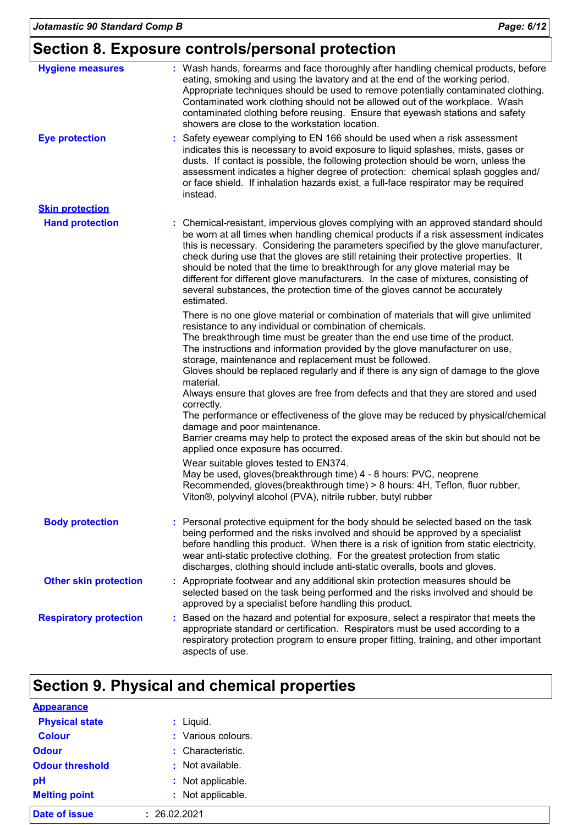### **Section 8. Exposure controls/personal protection**

| <b>Hygiene measures</b>       | : Wash hands, forearms and face thoroughly after handling chemical products, before<br>eating, smoking and using the lavatory and at the end of the working period.<br>Appropriate techniques should be used to remove potentially contaminated clothing.<br>Contaminated work clothing should not be allowed out of the workplace. Wash<br>contaminated clothing before reusing. Ensure that eyewash stations and safety<br>showers are close to the workstation location.                                                                                                                                                                                                                                                                                                                                                                                                                                                                     |
|-------------------------------|-------------------------------------------------------------------------------------------------------------------------------------------------------------------------------------------------------------------------------------------------------------------------------------------------------------------------------------------------------------------------------------------------------------------------------------------------------------------------------------------------------------------------------------------------------------------------------------------------------------------------------------------------------------------------------------------------------------------------------------------------------------------------------------------------------------------------------------------------------------------------------------------------------------------------------------------------|
| <b>Eye protection</b>         | Safety eyewear complying to EN 166 should be used when a risk assessment<br>indicates this is necessary to avoid exposure to liquid splashes, mists, gases or<br>dusts. If contact is possible, the following protection should be worn, unless the<br>assessment indicates a higher degree of protection: chemical splash goggles and/<br>or face shield. If inhalation hazards exist, a full-face respirator may be required<br>instead.                                                                                                                                                                                                                                                                                                                                                                                                                                                                                                      |
| <b>Skin protection</b>        |                                                                                                                                                                                                                                                                                                                                                                                                                                                                                                                                                                                                                                                                                                                                                                                                                                                                                                                                                 |
| <b>Hand protection</b>        | : Chemical-resistant, impervious gloves complying with an approved standard should<br>be worn at all times when handling chemical products if a risk assessment indicates<br>this is necessary. Considering the parameters specified by the glove manufacturer,<br>check during use that the gloves are still retaining their protective properties. It<br>should be noted that the time to breakthrough for any glove material may be<br>different for different glove manufacturers. In the case of mixtures, consisting of<br>several substances, the protection time of the gloves cannot be accurately<br>estimated.                                                                                                                                                                                                                                                                                                                       |
|                               | There is no one glove material or combination of materials that will give unlimited<br>resistance to any individual or combination of chemicals.<br>The breakthrough time must be greater than the end use time of the product.<br>The instructions and information provided by the glove manufacturer on use,<br>storage, maintenance and replacement must be followed.<br>Gloves should be replaced regularly and if there is any sign of damage to the glove<br>material.<br>Always ensure that gloves are free from defects and that they are stored and used<br>correctly.<br>The performance or effectiveness of the glove may be reduced by physical/chemical<br>damage and poor maintenance.<br>Barrier creams may help to protect the exposed areas of the skin but should not be<br>applied once exposure has occurred.<br>Wear suitable gloves tested to EN374.<br>May be used, gloves(breakthrough time) 4 - 8 hours: PVC, neoprene |
|                               | Recommended, gloves(breakthrough time) > 8 hours: 4H, Teflon, fluor rubber,<br>Viton®, polyvinyl alcohol (PVA), nitrile rubber, butyl rubber                                                                                                                                                                                                                                                                                                                                                                                                                                                                                                                                                                                                                                                                                                                                                                                                    |
| <b>Body protection</b>        | : Personal protective equipment for the body should be selected based on the task<br>being performed and the risks involved and should be approved by a specialist<br>before handling this product. When there is a risk of ignition from static electricity,<br>wear anti-static protective clothing. For the greatest protection from static<br>discharges, clothing should include anti-static overalls, boots and gloves.                                                                                                                                                                                                                                                                                                                                                                                                                                                                                                                   |
| <b>Other skin protection</b>  | : Appropriate footwear and any additional skin protection measures should be<br>selected based on the task being performed and the risks involved and should be<br>approved by a specialist before handling this product.                                                                                                                                                                                                                                                                                                                                                                                                                                                                                                                                                                                                                                                                                                                       |
| <b>Respiratory protection</b> | Based on the hazard and potential for exposure, select a respirator that meets the<br>appropriate standard or certification. Respirators must be used according to a<br>respiratory protection program to ensure proper fitting, training, and other important<br>aspects of use.                                                                                                                                                                                                                                                                                                                                                                                                                                                                                                                                                                                                                                                               |

### **Section 9. Physical and chemical properties**

| <b>Appearance</b>      |                    |
|------------------------|--------------------|
| <b>Physical state</b>  | : Liquid.          |
| <b>Colour</b>          | : Various colours. |
| <b>Odour</b>           | : Characteristic.  |
| <b>Odour threshold</b> | : Not available.   |
| pH                     | : Not applicable.  |
| <b>Melting point</b>   | : Not applicable.  |
| <b>Date of issue</b>   | : 26.02.2021       |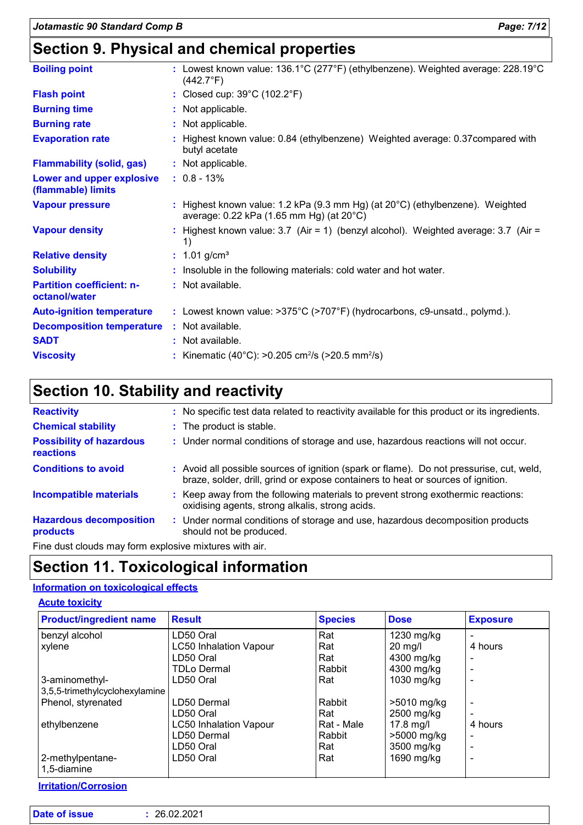### **Section 9. Physical and chemical properties**

| <b>Boiling point</b>                              | : Lowest known value: $136.1^{\circ}$ C (277 $^{\circ}$ F) (ethylbenzene). Weighted average: 228.19 $^{\circ}$ C<br>$(442.7^{\circ}F)$ |
|---------------------------------------------------|----------------------------------------------------------------------------------------------------------------------------------------|
| <b>Flash point</b>                                | : Closed cup: 39°C (102.2°F)                                                                                                           |
| <b>Burning time</b>                               | : Not applicable.                                                                                                                      |
| <b>Burning rate</b>                               | : Not applicable.                                                                                                                      |
| <b>Evaporation rate</b>                           | : Highest known value: 0.84 (ethylbenzene) Weighted average: 0.37 compared with<br>butyl acetate                                       |
| <b>Flammability (solid, gas)</b>                  | : Not applicable.                                                                                                                      |
| Lower and upper explosive<br>(flammable) limits   | $: 0.8 - 13\%$                                                                                                                         |
| <b>Vapour pressure</b>                            | : Highest known value: 1.2 kPa (9.3 mm Hg) (at $20^{\circ}$ C) (ethylbenzene). Weighted<br>average: 0.22 kPa (1.65 mm Hg) (at 20°C)    |
| <b>Vapour density</b>                             | : Highest known value: $3.7$ (Air = 1) (benzyl alcohol). Weighted average: $3.7$ (Air =<br>1)                                          |
| <b>Relative density</b>                           | : $1.01$ g/cm <sup>3</sup>                                                                                                             |
| <b>Solubility</b>                                 | : Insoluble in the following materials: cold water and hot water.                                                                      |
| <b>Partition coefficient: n-</b><br>octanol/water | : Not available.                                                                                                                       |
| <b>Auto-ignition temperature</b>                  | : Lowest known value: >375°C (>707°F) (hydrocarbons, c9-unsatd., polymd.).                                                             |
| <b>Decomposition temperature</b>                  | : Not available.                                                                                                                       |
| <b>SADT</b>                                       | : Not available.                                                                                                                       |
| <b>Viscosity</b>                                  | : Kinematic (40°C): >0.205 cm <sup>2</sup> /s (>20.5 mm <sup>2</sup> /s)                                                               |

### **Section 10. Stability and reactivity**

| <b>Reactivity</b>                                   | : No specific test data related to reactivity available for this product or its ingredients.                                                                                 |
|-----------------------------------------------------|------------------------------------------------------------------------------------------------------------------------------------------------------------------------------|
| <b>Chemical stability</b>                           | : The product is stable.                                                                                                                                                     |
| <b>Possibility of hazardous</b><br><b>reactions</b> | : Under normal conditions of storage and use, hazardous reactions will not occur.                                                                                            |
| <b>Conditions to avoid</b>                          | : Avoid all possible sources of ignition (spark or flame). Do not pressurise, cut, weld,<br>braze, solder, drill, grind or expose containers to heat or sources of ignition. |
| <b>Incompatible materials</b>                       | : Keep away from the following materials to prevent strong exothermic reactions:<br>oxidising agents, strong alkalis, strong acids.                                          |
| <b>Hazardous decomposition</b><br>products          | : Under normal conditions of storage and use, hazardous decomposition products<br>should not be produced.                                                                    |
|                                                     |                                                                                                                                                                              |

Fine dust clouds may form explosive mixtures with air.

### **Section 11. Toxicological information**

### **Information on toxicological effects**

|  | <b>Acute toxicity</b> |  |  |
|--|-----------------------|--|--|
|  |                       |  |  |

| <b>Product/ingredient name</b> | <b>Result</b>                 | <b>Species</b> | <b>Dose</b>   | <b>Exposure</b> |
|--------------------------------|-------------------------------|----------------|---------------|-----------------|
| benzyl alcohol                 | LD50 Oral                     | Rat            | 1230 mg/kg    |                 |
| xylene                         | <b>LC50 Inhalation Vapour</b> | Rat            | $20$ mg/l     | 4 hours         |
|                                | LD50 Oral                     | Rat            | 4300 mg/kg    |                 |
|                                | <b>TDLo Dermal</b>            | Rabbit         | 4300 mg/kg    |                 |
| 3-aminomethyl-                 | LD50 Oral                     | Rat            | 1030 mg/kg    |                 |
| 3,5,5-trimethylcyclohexylamine |                               |                |               |                 |
| Phenol, styrenated             | LD50 Dermal                   | Rabbit         | $>5010$ mg/kg |                 |
|                                | LD50 Oral                     | Rat            | 2500 mg/kg    |                 |
| ethylbenzene                   | <b>LC50 Inhalation Vapour</b> | Rat - Male     | 17.8 mg/l     | 4 hours         |
|                                | LD50 Dermal                   | Rabbit         | >5000 mg/kg   |                 |
|                                | LD50 Oral                     | Rat            | 3500 mg/kg    |                 |
| 2-methylpentane-               | LD50 Oral                     | Rat            | 1690 mg/kg    |                 |
| 1,5-diamine                    |                               |                |               |                 |

**Irritation/Corrosion**

| <b>Date of issue</b> | : 26.02.2021 |
|----------------------|--------------|
|----------------------|--------------|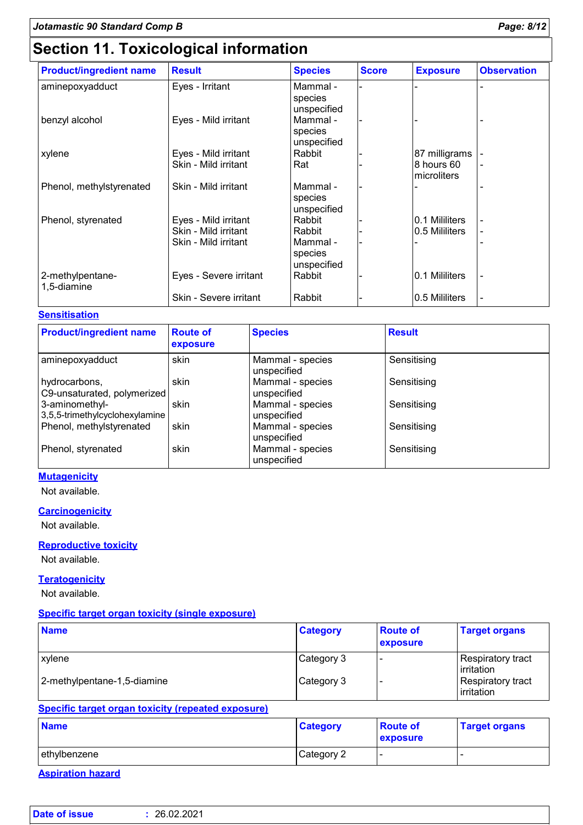### **Section 11. Toxicological information**

| <b>Product/ingredient name</b>  | <b>Result</b>          | <b>Species</b>                     | <b>Score</b> | <b>Exposure</b>           | <b>Observation</b> |
|---------------------------------|------------------------|------------------------------------|--------------|---------------------------|--------------------|
| aminepoxyadduct                 | Eyes - Irritant        | Mammal -<br>species<br>unspecified |              |                           |                    |
| benzyl alcohol                  | Eyes - Mild irritant   | Mammal -<br>species<br>unspecified |              |                           |                    |
| xylene                          | Eyes - Mild irritant   | Rabbit                             |              | 87 milligrams             |                    |
|                                 | Skin - Mild irritant   | Rat                                |              | 8 hours 60<br>microliters |                    |
| Phenol, methylstyrenated        | Skin - Mild irritant   | Mammal -<br>species<br>unspecified |              |                           |                    |
| Phenol, styrenated              | Eyes - Mild irritant   | Rabbit                             |              | 0.1 Mililiters            |                    |
|                                 | Skin - Mild irritant   | Rabbit                             |              | I0.5 Mililiters           |                    |
|                                 | Skin - Mild irritant   | Mammal -<br>species<br>unspecified |              |                           |                    |
| 2-methylpentane-<br>1,5-diamine | Eyes - Severe irritant | Rabbit                             |              | 0.1 Mililiters            |                    |
|                                 | Skin - Severe irritant | Rabbit                             |              | 0.5 Mililiters            |                    |

#### **Sensitisation**

| <b>Product/ingredient name</b>                   | <b>Route of</b><br>exposure | <b>Species</b>                  | <b>Result</b> |
|--------------------------------------------------|-----------------------------|---------------------------------|---------------|
| aminepoxyadduct                                  | skin                        | Mammal - species<br>unspecified | Sensitising   |
| hydrocarbons,<br>C9-unsaturated, polymerized     | skin                        | Mammal - species<br>unspecified | Sensitising   |
| 3-aminomethyl-<br>3,5,5-trimethylcyclohexylamine | skin                        | Mammal - species<br>unspecified | Sensitising   |
| Phenol, methylstyrenated                         | skin                        | Mammal - species<br>unspecified | Sensitising   |
| Phenol, styrenated                               | skin                        | Mammal - species<br>unspecified | Sensitising   |

#### **Mutagenicity**

Not available.

#### **Carcinogenicity**

Not available.

#### **Reproductive toxicity**

Not available.

#### **Teratogenicity**

Not available.

#### **Specific target organ toxicity (single exposure)**

| <b>Name</b>                 | <b>Category</b> | <b>Route of</b><br>exposure | <b>Target organs</b>                     |
|-----------------------------|-----------------|-----------------------------|------------------------------------------|
| <b>xylene</b>               | Category 3      |                             | Respiratory tract<br>l irritation        |
| 2-methylpentane-1,5-diamine | Category 3      |                             | Respiratory tract<br><b>l</b> irritation |

#### **Specific target organ toxicity (repeated exposure)**

| <b>Name</b>  | <b>Category</b> | <b>Route of</b><br>exposure | <b>Target organs</b> |
|--------------|-----------------|-----------------------------|----------------------|
| ethylbenzene | Category 2      |                             |                      |

**Aspiration hazard**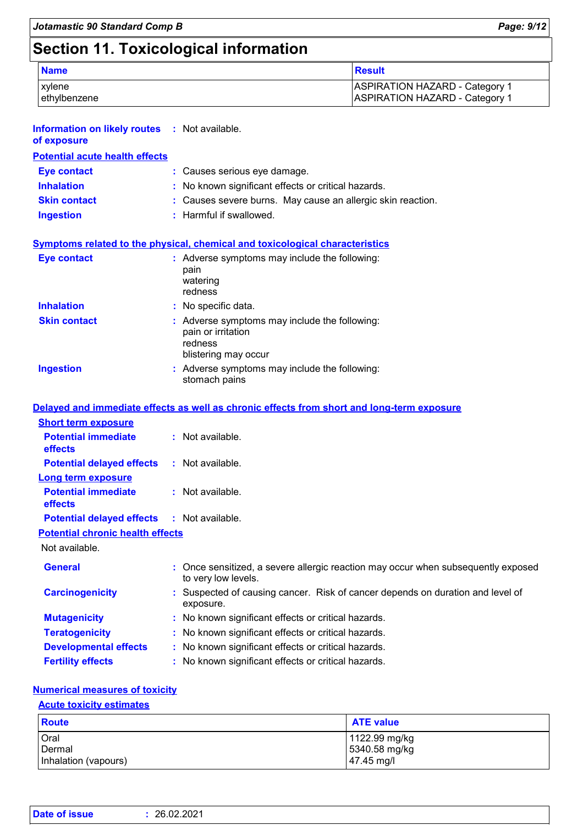## **Section 11. Toxicological information**

| <b>Name</b>  | Result                                |
|--------------|---------------------------------------|
| xvlene       | <b>ASPIRATION HAZARD - Category 1</b> |
| ethylbenzene | <b>ASPIRATION HAZARD - Category 1</b> |

| <b>Information on likely routes : Not available.</b><br>of exposure |                                                                                                          |
|---------------------------------------------------------------------|----------------------------------------------------------------------------------------------------------|
| <b>Potential acute health effects</b>                               |                                                                                                          |
| <b>Eye contact</b>                                                  | : Causes serious eye damage.                                                                             |
| <b>Inhalation</b>                                                   | : No known significant effects or critical hazards.                                                      |
| <b>Skin contact</b>                                                 | : Causes severe burns. May cause an allergic skin reaction.                                              |
| <b>Ingestion</b>                                                    | : Harmful if swallowed.                                                                                  |
|                                                                     | <b>Symptoms related to the physical, chemical and toxicological characteristics</b>                      |
| <b>Eye contact</b>                                                  | : Adverse symptoms may include the following:<br>pain<br>watering<br>redness                             |
| <b>Inhalation</b>                                                   | : No specific data.                                                                                      |
| <b>Skin contact</b>                                                 | : Adverse symptoms may include the following:<br>pain or irritation<br>redness<br>blistering may occur   |
| <b>Ingestion</b>                                                    | : Adverse symptoms may include the following:<br>stomach pains                                           |
|                                                                     | Delayed and immediate effects as well as chronic effects from short and long-term exposure               |
| <b>Short term exposure</b>                                          |                                                                                                          |
| <b>Potential immediate</b><br>effects                               | : Not available.                                                                                         |
| <b>Potential delayed effects</b>                                    | : Not available.                                                                                         |
| <b>Long term exposure</b>                                           |                                                                                                          |
| <b>Potential immediate</b><br>effects                               | : Not available.                                                                                         |
| <b>Potential delayed effects</b>                                    | : Not available.                                                                                         |
| <b>Potential chronic health effects</b>                             |                                                                                                          |
| Not available.                                                      |                                                                                                          |
| <b>General</b>                                                      | : Once sensitized, a severe allergic reaction may occur when subsequently exposed<br>to very low levels. |
| <b>Carcinogenicity</b>                                              | : Suspected of causing cancer. Risk of cancer depends on duration and level of<br>exposure.              |
| <b>Mutagenicity</b>                                                 | : No known significant effects or critical hazards.                                                      |
| <b>Teratogenicity</b>                                               | : No known significant effects or critical hazards.                                                      |
| <b>Developmental effects</b>                                        | : No known significant effects or critical hazards.                                                      |
| <b>Fertility effects</b>                                            | : No known significant effects or critical hazards.                                                      |

#### **Numerical measures of toxicity**

#### **Acute toxicity estimates**

| <b>Route</b>         | <b>ATE value</b>       |
|----------------------|------------------------|
| Oral                 | 1122.99 mg/kg          |
| Dermal               | 5340.58 mg/kg          |
| Inhalation (vapours) | $ 47.45 \text{ mg}/I $ |

| <b>Date of issue</b> | 26.02.2021 |  |  |  |
|----------------------|------------|--|--|--|
|----------------------|------------|--|--|--|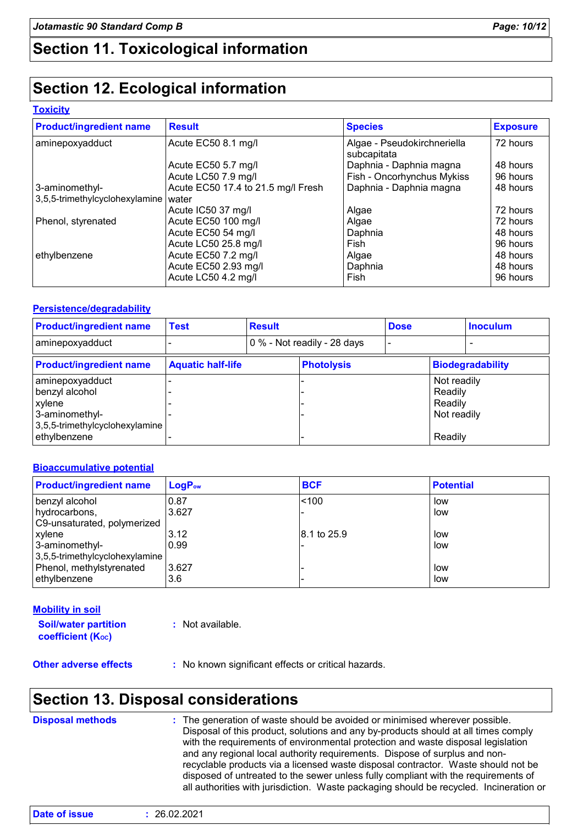### **Section 11. Toxicological information**

### **Section 12. Ecological information**

#### **Toxicity**

| <b>Product/ingredient name</b> | <b>Result</b>                      | <b>Species</b>                             | <b>Exposure</b> |
|--------------------------------|------------------------------------|--------------------------------------------|-----------------|
| aminepoxyadduct                | Acute EC50 8.1 mg/l                | Algae - Pseudokirchneriella<br>subcapitata | 72 hours        |
|                                | Acute EC50 5.7 mg/l                | Daphnia - Daphnia magna                    | 48 hours        |
|                                | Acute LC50 7.9 mg/l                | Fish - Oncorhynchus Mykiss                 | 96 hours        |
| 3-aminomethyl-                 | Acute EC50 17.4 to 21.5 mg/l Fresh | Daphnia - Daphnia magna                    | 48 hours        |
| 3,5,5-trimethylcyclohexylamine | water                              |                                            |                 |
|                                | Acute IC50 37 mg/l                 | Algae                                      | 72 hours        |
| Phenol, styrenated             | Acute EC50 100 mg/l                | Algae                                      | 72 hours        |
|                                | Acute EC50 54 mg/l                 | Daphnia                                    | 48 hours        |
|                                | Acute LC50 25.8 mg/l               | Fish                                       | 96 hours        |
| ethylbenzene                   | Acute EC50 7.2 mg/l                | Algae                                      | 48 hours        |
|                                | Acute EC50 2.93 mg/l               | Daphnia                                    | 48 hours        |
|                                | Acute LC50 4.2 mg/l                | Fish                                       | 96 hours        |

#### **Persistence/degradability**

| <b>Product/ingredient name</b>                                                                    | <b>Test</b>              | <b>Result</b> |                             | <b>Dose</b> |                                                  | <b>Inoculum</b>         |
|---------------------------------------------------------------------------------------------------|--------------------------|---------------|-----------------------------|-------------|--------------------------------------------------|-------------------------|
| aminepoxyadduct                                                                                   |                          |               | 0 % - Not readily - 28 days |             |                                                  |                         |
| <b>Product/ingredient name</b>                                                                    | <b>Aquatic half-life</b> |               | <b>Photolysis</b>           |             |                                                  | <b>Biodegradability</b> |
| aminepoxyadduct<br>benzyl alcohol<br>  xylene<br>3-aminomethyl-<br>3,5,5-trimethylcyclohexylamine |                          |               |                             |             | Not readily<br>Readily<br>Readily<br>Not readily |                         |
| ethylbenzene                                                                                      |                          |               |                             |             | Readily                                          |                         |

#### **Bioaccumulative potential**

| <b>Product/ingredient name</b> | $LogP_{ow}$ | <b>BCF</b>  | <b>Potential</b> |
|--------------------------------|-------------|-------------|------------------|
| benzyl alcohol                 | 0.87        | < 100       | low              |
| hydrocarbons,                  | 3.627       |             | low              |
| C9-unsaturated, polymerized    |             |             |                  |
| xylene                         | 3.12        | 8.1 to 25.9 | low              |
| 3-aminomethyl-                 | 0.99        |             | low              |
| 3,5,5-trimethylcyclohexylamine |             |             |                  |
| Phenol, methylstyrenated       | 3.627       |             | low              |
| ethylbenzene                   | 3.6         |             | low              |

#### **Soil/water partition**  coefficient (Koc) **:** Not available. **Mobility in soil**

**Other adverse effects** : No known significant effects or critical hazards.

### **Section 13. Disposal considerations**

| with the requirements of environmental protection and waste disposal legislation<br>and any regional local authority requirements. Dispose of surplus and non-<br>recyclable products via a licensed waste disposal contractor. Waste should not be<br>disposed of untreated to the sewer unless fully compliant with the requirements of<br>all authorities with jurisdiction. Waste packaging should be recycled. Incineration or | <b>Disposal methods</b> | : The generation of waste should be avoided or minimised wherever possible.<br>Disposal of this product, solutions and any by-products should at all times comply |  |
|-------------------------------------------------------------------------------------------------------------------------------------------------------------------------------------------------------------------------------------------------------------------------------------------------------------------------------------------------------------------------------------------------------------------------------------|-------------------------|-------------------------------------------------------------------------------------------------------------------------------------------------------------------|--|
|-------------------------------------------------------------------------------------------------------------------------------------------------------------------------------------------------------------------------------------------------------------------------------------------------------------------------------------------------------------------------------------------------------------------------------------|-------------------------|-------------------------------------------------------------------------------------------------------------------------------------------------------------------|--|

| Date of issue | : 26.02.2021 |
|---------------|--------------|
|               |              |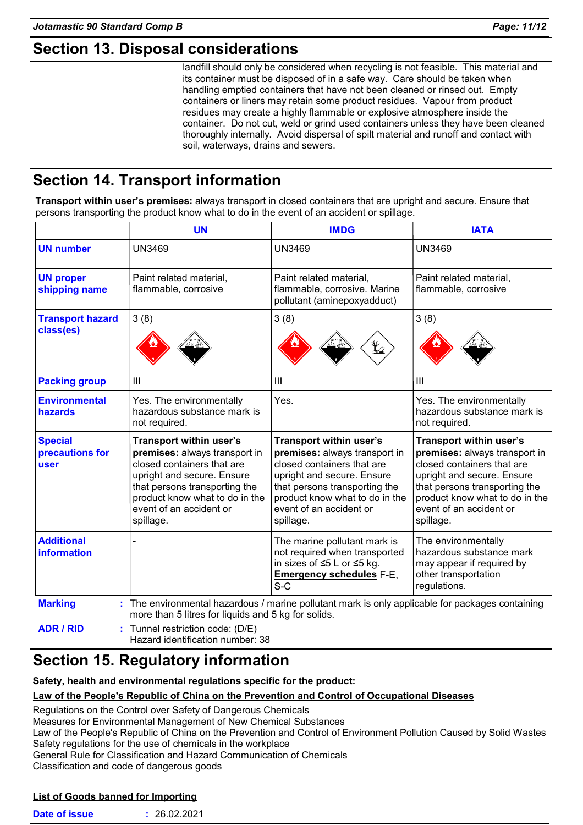landfill should only be considered when recycling is not feasible. This material and its container must be disposed of in a safe way. Care should be taken when handling emptied containers that have not been cleaned or rinsed out. Empty containers or liners may retain some product residues. Vapour from product residues may create a highly flammable or explosive atmosphere inside the container. Do not cut, weld or grind used containers unless they have been cleaned thoroughly internally. Avoid dispersal of spilt material and runoff and contact with soil, waterways, drains and sewers.

### **Section 14. Transport information**

**Transport within user's premises:** always transport in closed containers that are upright and secure. Ensure that persons transporting the product know what to do in the event of an accident or spillage.

|                                           | <b>UN</b>                                                                                                                                                                                                                       | <b>IMDG</b>                                                                                                                                                                                                                     | <b>IATA</b>                                                                                                                                                                                                                     |
|-------------------------------------------|---------------------------------------------------------------------------------------------------------------------------------------------------------------------------------------------------------------------------------|---------------------------------------------------------------------------------------------------------------------------------------------------------------------------------------------------------------------------------|---------------------------------------------------------------------------------------------------------------------------------------------------------------------------------------------------------------------------------|
| <b>UN number</b>                          | <b>UN3469</b>                                                                                                                                                                                                                   | <b>UN3469</b>                                                                                                                                                                                                                   | <b>UN3469</b>                                                                                                                                                                                                                   |
| <b>UN proper</b><br>shipping name         | Paint related material,<br>flammable, corrosive                                                                                                                                                                                 | Paint related material,<br>flammable, corrosive. Marine<br>pollutant (aminepoxyadduct)                                                                                                                                          | Paint related material,<br>flammable, corrosive                                                                                                                                                                                 |
| <b>Transport hazard</b><br>class(es)      | 3(8)                                                                                                                                                                                                                            | 3(8)                                                                                                                                                                                                                            | 3(8)                                                                                                                                                                                                                            |
| <b>Packing group</b>                      | Ш                                                                                                                                                                                                                               | Ш                                                                                                                                                                                                                               | III                                                                                                                                                                                                                             |
| <b>Environmental</b><br>hazards           | Yes. The environmentally<br>hazardous substance mark is<br>not required.                                                                                                                                                        | Yes.                                                                                                                                                                                                                            | Yes. The environmentally<br>hazardous substance mark is<br>not required.                                                                                                                                                        |
| <b>Special</b><br>precautions for<br>user | Transport within user's<br>premises: always transport in<br>closed containers that are<br>upright and secure. Ensure<br>that persons transporting the<br>product know what to do in the<br>event of an accident or<br>spillage. | Transport within user's<br>premises: always transport in<br>closed containers that are<br>upright and secure. Ensure<br>that persons transporting the<br>product know what to do in the<br>event of an accident or<br>spillage. | Transport within user's<br>premises: always transport in<br>closed containers that are<br>upright and secure. Ensure<br>that persons transporting the<br>product know what to do in the<br>event of an accident or<br>spillage. |
| <b>Additional</b><br><b>information</b>   |                                                                                                                                                                                                                                 | The marine pollutant mark is<br>not required when transported<br>in sizes of ≤5 L or ≤5 kg.<br><b>Emergency schedules F-E,</b><br>$S-C$                                                                                         | The environmentally<br>hazardous substance mark<br>may appear if required by<br>other transportation<br>regulations.                                                                                                            |
| <b>Marking</b>                            | : The environmental hazardous / marine pollutant mark is only applicable for packages containing<br>more than 5 litres for liquids and 5 kg for solids.                                                                         |                                                                                                                                                                                                                                 |                                                                                                                                                                                                                                 |
| <b>ADR / RID</b>                          | Tunnel restriction code: (D/E)<br>Hazard identification number: 38                                                                                                                                                              |                                                                                                                                                                                                                                 |                                                                                                                                                                                                                                 |

### **Section 15. Regulatory information**

**Safety, health and environmental regulations specific for the product:**

#### **Law of the People's Republic of China on the Prevention and Control of Occupational Diseases**

Regulations on the Control over Safety of Dangerous Chemicals

Measures for Environmental Management of New Chemical Substances

Law of the People's Republic of China on the Prevention and Control of Environment Pollution Caused by Solid Wastes Safety regulations for the use of chemicals in the workplace

General Rule for Classification and Hazard Communication of Chemicals

Classification and code of dangerous goods

#### **List of Goods banned for Importing**

| <b>Date of issue</b> | 26.02.2021 |  |  |  |
|----------------------|------------|--|--|--|
|----------------------|------------|--|--|--|